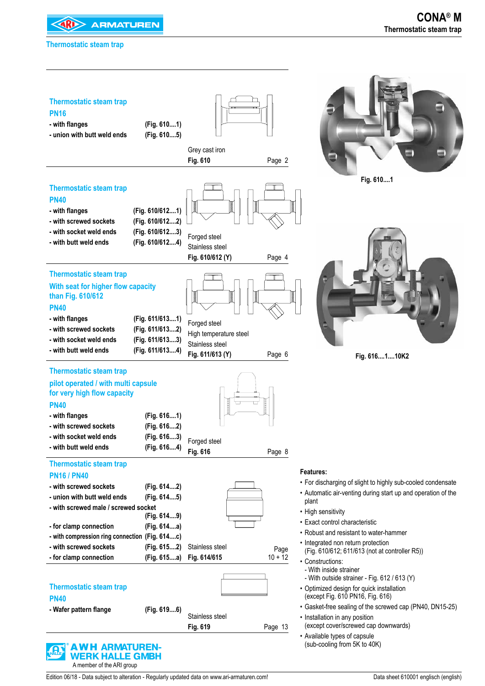**<4RI> ARMATUREN** 

#### **Thermostatic steam trap**

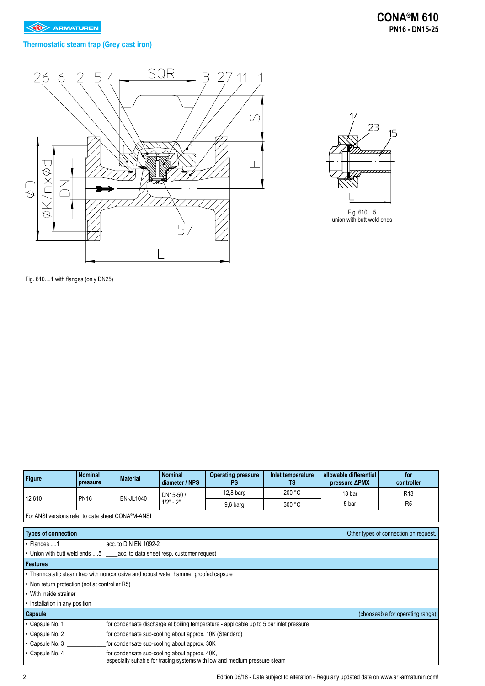# **Thermostatic steam trap (Grey cast iron)**





Fig. 610....1 with flanges (only DN25)

| <b>Figure</b>                                                                       | <b>Nominal</b><br>pressure                                                                                                                           | <b>Material</b> | <b>Nominal</b><br>diameter / NPS                        | <b>Operating pressure</b><br>PS                                                         | Inlet temperature<br>TS. | allowable differential<br>pressure <b>APMX</b> | for<br>controller                     |  |
|-------------------------------------------------------------------------------------|------------------------------------------------------------------------------------------------------------------------------------------------------|-----------------|---------------------------------------------------------|-----------------------------------------------------------------------------------------|--------------------------|------------------------------------------------|---------------------------------------|--|
|                                                                                     |                                                                                                                                                      |                 | DN15-50 /                                               | $12,8$ barg                                                                             | 200 °C                   | 13 bar                                         | R <sub>13</sub>                       |  |
| 12.610                                                                              | <b>PN16</b>                                                                                                                                          | EN-JL1040       | $1/2" - 2"$                                             | 9,6 barg                                                                                | 300 °C                   | 5 bar                                          | R <sub>5</sub>                        |  |
| For ANSI versions refer to data sheet CONA®M-ANSI                                   |                                                                                                                                                      |                 |                                                         |                                                                                         |                          |                                                |                                       |  |
|                                                                                     |                                                                                                                                                      |                 |                                                         |                                                                                         |                          |                                                |                                       |  |
| <b>Types of connection</b>                                                          |                                                                                                                                                      |                 |                                                         |                                                                                         |                          |                                                | Other types of connection on request. |  |
| • Flanges 1 acc. to DIN EN 1092-2                                                   |                                                                                                                                                      |                 |                                                         |                                                                                         |                          |                                                |                                       |  |
| • Union with butt weld ends 5 ______ acc. to data sheet resp. customer request      |                                                                                                                                                      |                 |                                                         |                                                                                         |                          |                                                |                                       |  |
| <b>Features</b>                                                                     |                                                                                                                                                      |                 |                                                         |                                                                                         |                          |                                                |                                       |  |
| • Thermostatic steam trap with noncorrosive and robust water hammer proofed capsule |                                                                                                                                                      |                 |                                                         |                                                                                         |                          |                                                |                                       |  |
| • Non return protection (not at controller R5)                                      |                                                                                                                                                      |                 |                                                         |                                                                                         |                          |                                                |                                       |  |
| • With inside strainer                                                              |                                                                                                                                                      |                 |                                                         |                                                                                         |                          |                                                |                                       |  |
| • Installation in any position                                                      |                                                                                                                                                      |                 |                                                         |                                                                                         |                          |                                                |                                       |  |
| Capsule                                                                             |                                                                                                                                                      |                 |                                                         |                                                                                         |                          |                                                | (chooseable for operating range)      |  |
| • Capsule No. 1                                                                     |                                                                                                                                                      |                 |                                                         | for condensate discharge at boiling temperature - applicable up to 5 bar inlet pressure |                          |                                                |                                       |  |
| $\cdot$ Capsule No. 2                                                               |                                                                                                                                                      |                 | for condensate sub-cooling about approx. 10K (Standard) |                                                                                         |                          |                                                |                                       |  |
|                                                                                     | for condensate sub-cooling about approx. 30K<br>$\cdot$ Capsule No. 3                                                                                |                 |                                                         |                                                                                         |                          |                                                |                                       |  |
|                                                                                     | $\cdot$ Capsule No. 4<br>for condensate sub-cooling about approx. 40K,<br>especially suitable for tracing systems with low and medium pressure steam |                 |                                                         |                                                                                         |                          |                                                |                                       |  |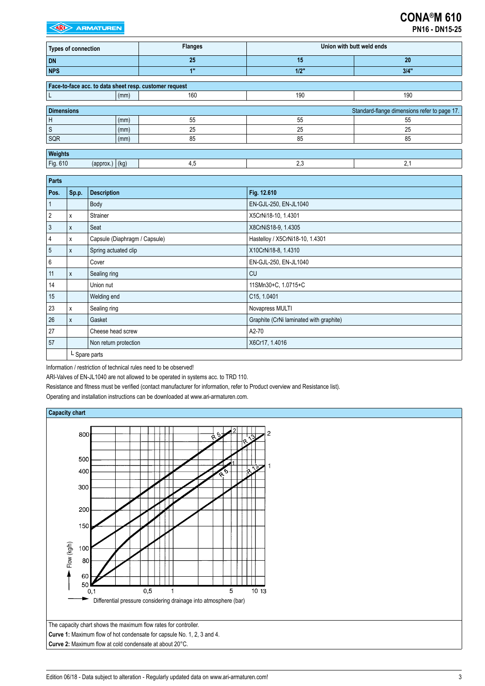| <b>Types of connection</b>                             |      | <b>Flanges</b> | Union with butt weld ends |                                              |  |  |
|--------------------------------------------------------|------|----------------|---------------------------|----------------------------------------------|--|--|
| <b>DN</b>                                              |      | 25             | 15                        | 20                                           |  |  |
| <b>NPS</b>                                             |      | 1"             | 1/2"                      | $3/4$ "                                      |  |  |
|                                                        |      |                |                           |                                              |  |  |
| Face-to-face acc. to data sheet resp. customer request |      |                |                           |                                              |  |  |
|                                                        | (mm) | 160            | 190                       | 190                                          |  |  |
|                                                        |      |                |                           |                                              |  |  |
| <b>Dimensions</b>                                      |      |                |                           | Standard-flange dimensions refer to page 17. |  |  |
| H                                                      | (mm) | 55             | 55                        | 55                                           |  |  |
| <sub>S</sub>                                           | (mm) | 25             | 25                        | 25                                           |  |  |
| SQR                                                    | (mm) | 85             | 85                        | 85                                           |  |  |
|                                                        |      |                |                           |                                              |  |  |
| Weights                                                |      |                |                           |                                              |  |  |
| Fig. 610<br>$(\text{approx.})   (\text{kg})$           |      | 4,5            | 2,3                       | 2,1                                          |  |  |

| <b>Parts</b> |       |                               |                                         |
|--------------|-------|-------------------------------|-----------------------------------------|
| Pos.         | Sp.p. | <b>Description</b>            | Fig. 12.610                             |
|              |       | Body                          | EN-GJL-250, EN-JL1040                   |
| 2            | х     | Strainer                      | X5CrNi18-10, 1.4301                     |
| 3            | X     | Seat                          | X8CrNiS18-9, 1.4305                     |
| 4            | х     | Capsule (Diaphragm / Capsule) | Hastelloy / X5CrNi18-10, 1.4301         |
| 5            | X     | Spring actuated clip          | X10CrNi18-8, 1.4310                     |
| 6            |       | Cover                         | EN-GJL-250, EN-JL1040                   |
| 11           | X     | Sealing ring                  | <b>CU</b>                               |
| 14           |       | Union nut                     | 11SMn30+C, 1.0715+C                     |
| 15           |       | Welding end                   | C15, 1.0401                             |
| 23           | х     | Sealing ring                  | Novapress MULTI                         |
| 26           | X     | Gasket                        | Graphite (CrNi laminated with graphite) |
| 27           |       | Cheese head screw             | A2-70                                   |
| 57           |       | Non return protection         | X6Cr17, 1.4016                          |
|              |       | L Spare parts                 |                                         |

Information / restriction of technical rules need to be observed!

ARI-Valves of EN-JL1040 are not allowed to be operated in systems acc. to TRD 110.

Resistance and fitness must be verified (contact manufacturer for information, refer to Product overview and Resistance list).

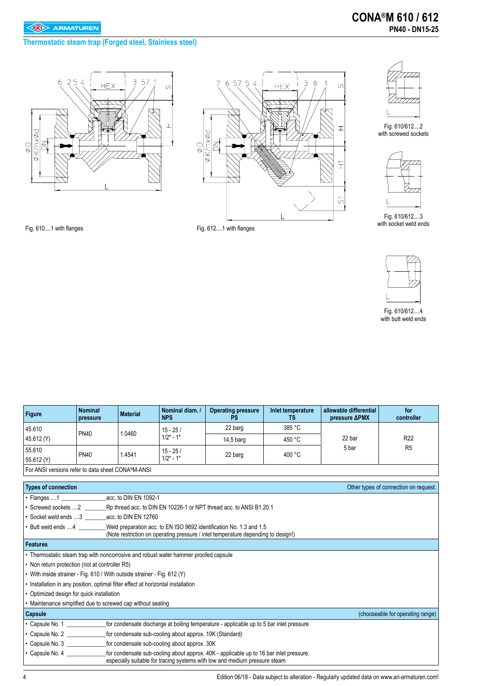**Thermostatic steam trap (Forged steel, Stainless steel)**







Fig. 610/612....2 with screwed sockets



Fig. 610/612....3 with socket weld ends





Fig. 610/612....4 with butt weld ends

Fig. 610....1 with flanges Fig. 612....1 with flanges

| <b>Figure</b> | <b>Nominal</b><br>pressure | <b>Material</b> | Nominal diam. /<br><b>NPS</b> | <b>Operating pressure</b><br>PS | Inlet temperature<br>TS | allowable differential<br>pressure <b>APMX</b> | for<br>controller |
|---------------|----------------------------|-----------------|-------------------------------|---------------------------------|-------------------------|------------------------------------------------|-------------------|
| 45.610        |                            |                 | $15 - 25/$<br>$1/2" - 1"$     | 22 barg                         | 385 °C                  |                                                |                   |
| 45.612 (Y)    | <b>PN40</b>                | .0460           |                               | $14.5b$ arg                     | 450 °C                  | 22 bar<br>5 bar                                | R <sub>22</sub>   |
| 55.610        | <b>PN40</b>                | .4541           | $15 - 25/$                    | 22 barg                         | 400 °C                  |                                                | R <sub>5</sub>    |
| 55.612 (Y)    |                            |                 | $1/2" - 1"$                   |                                 |                         |                                                |                   |
| _             |                            |                 |                               |                                 |                         |                                                |                   |

| For ANSI versions refer to data sheet CONA <sup>®</sup> M-ANSI |  |
|----------------------------------------------------------------|--|
|----------------------------------------------------------------|--|

| <b>Types of connection</b>                                               |                                                                                                                                                                      | Other types of connection on request. |
|--------------------------------------------------------------------------|----------------------------------------------------------------------------------------------------------------------------------------------------------------------|---------------------------------------|
| $\cdot$ Flanges  1                                                       | acc. to DIN EN 1092-1                                                                                                                                                |                                       |
|                                                                          | • Screwed sockets 2 Rp thread acc. to DIN EN 10226-1 or NPT thread acc. to ANSI B1.20.1                                                                              |                                       |
| • Socket weld ends 3 acc. to DIN EN 12760                                |                                                                                                                                                                      |                                       |
| • Butt weld ends 4                                                       | Weld preparation acc. to EN ISO 9692 identification No. 1.3 and 1.5<br>(Note restriction on operating pressure / inlet temperature depending to design!)             |                                       |
| <b>Features</b>                                                          |                                                                                                                                                                      |                                       |
|                                                                          | • Thermostatic steam trap with noncorrosive and robust water hammer proofed capsule                                                                                  |                                       |
| • Non return protection (not at controller R5)                           |                                                                                                                                                                      |                                       |
| • With inside strainer - Fig. 610 / With outside strainer - Fig. 612 (Y) |                                                                                                                                                                      |                                       |
|                                                                          | • Installation in any position, optimal filter effect at horizontal installation                                                                                     |                                       |
| • Optimized design for quick installation                                |                                                                                                                                                                      |                                       |
| • Maintenance simplified due to screwed cap without sealing              |                                                                                                                                                                      |                                       |
| <b>Capsule</b>                                                           |                                                                                                                                                                      | (chooseable for operating range)      |
| $\cdot$ Capsule No. 1                                                    | for condensate discharge at boiling temperature - applicable up to 5 bar inlet pressure                                                                              |                                       |
| $\cdot$ Capsule No. 2                                                    | for condensate sub-cooling about approx. 10K (Standard)                                                                                                              |                                       |
| $\cdot$ Capsule No. 3                                                    | for condensate sub-cooling about approx. 30K                                                                                                                         |                                       |
| $\cdot$ Capsule No. 4                                                    | for condensate sub-cooling about approx. 40K - applicable up to 16 bar inlet pressure,<br>especially suitable for tracing systems with low and medium pressure steam |                                       |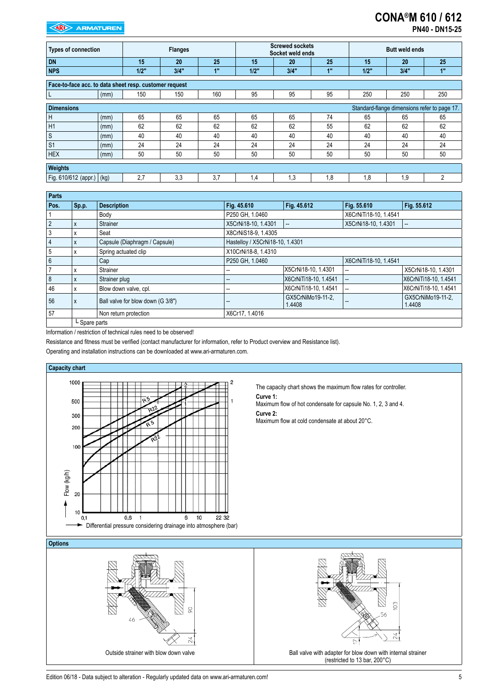# **CONA®M 610 / 612**

| <b>Types of connection</b>                             |      | <b>Flanges</b> |      |     | <b>Screwed sockets</b><br>Socket weld ends |      |     | <b>Butt weld ends</b> |                                              |                |
|--------------------------------------------------------|------|----------------|------|-----|--------------------------------------------|------|-----|-----------------------|----------------------------------------------|----------------|
| <b>DN</b>                                              |      | 15             | 20   | 25  | 15                                         | 20   | 25  | 15                    | 20                                           | 25             |
| <b>NPS</b>                                             |      | $1/2$ "        | 3/4" | 1"  | $1/2$ "                                    | 3/4" | 48  | 1/2"                  | 3/4"                                         | 1"             |
| Face-to-face acc. to data sheet resp. customer request |      |                |      |     |                                            |      |     |                       |                                              |                |
| L                                                      | (mm) | 150            | 150  | 160 | 95                                         | 95   | 95  | 250                   | 250                                          | 250            |
| <b>Dimensions</b>                                      |      |                |      |     |                                            |      |     |                       | Standard-flange dimensions refer to page 17. |                |
| H                                                      | (mm) | 65             | 65   | 65  | 65                                         | 65   | 74  | 65                    | 65                                           | 65             |
| H1                                                     | (mm) | 62             | 62   | 62  | 62                                         | 62   | 55  | 62                    | 62                                           | 62             |
| $\ensuremath{\mathsf{S}}$                              | (mm) | 40             | 40   | 40  | 40                                         | 40   | 40  | 40                    | 40                                           | 40             |
| S <sub>1</sub>                                         | (mm) | 24             | 24   | 24  | 24                                         | 24   | 24  | 24                    | 24                                           | 24             |
| <b>HEX</b>                                             | (mm) | 50             | 50   | 50  | 50                                         | 50   | 50  | 50                    | 50                                           | 50             |
| Weights                                                |      |                |      |     |                                            |      |     |                       |                                              |                |
| Fig. 610/612 (appr.) (kg)                              |      | 2,7            | 3,3  | 3.7 | 1,4                                        | 1,3  | 1.8 | 1,8                   | 1,9                                          | $\overline{c}$ |

| Parts           |               |                                   |                                 |                             |                       |                             |  |
|-----------------|---------------|-----------------------------------|---------------------------------|-----------------------------|-----------------------|-----------------------------|--|
| Pos.            | Sp.p.         | <b>Description</b>                | Fig. 45.610                     | Fig. 45.612                 | Fig. 55.610           | Fig. 55.612                 |  |
|                 |               | Body                              | P250 GH, 1.0460                 |                             | X6CrNiTi18-10, 1.4541 |                             |  |
| $\overline{2}$  | X             | Strainer                          | X5CrNi18-10, 1.4301             | $\overline{\phantom{a}}$    | X5CrNi18-10, 1.4301   |                             |  |
| 3               | x             | Seat                              | X8CrNiS18-9, 1.4305             |                             |                       |                             |  |
| $\overline{4}$  | X             | Capsule (Diaphragm / Capsule)     | Hastelloy / X5CrNi18-10, 1.4301 |                             |                       |                             |  |
| $5\phantom{.0}$ | x             | Spring actuated clip              | X10CrNi18-8, 1.4310             |                             |                       |                             |  |
| $6\overline{6}$ |               | Cap                               | P250 GH. 1.0460                 |                             | X6CrNiTi18-10, 1.4541 |                             |  |
|                 | X             | Strainer                          |                                 | X5CrNi18-10, 1.4301         | --                    | X5CrNi18-10, 1.4301         |  |
| 8               | X             | Strainer plug                     |                                 | X6CrNiTi18-10, 1.4541       | --                    | X6CrNiTi18-10, 1.4541       |  |
| 46              | X             | Blow down valve, cpl.             | $\overline{\phantom{a}}$        | X6CrNiTi18-10, 1.4541       | --                    | X6CrNiTi18-10, 1.4541       |  |
| 56              | X             | Ball valve for blow down (G 3/8") | $\overline{\phantom{a}}$        | GX5CrNiMo19-11-2.<br>1.4408 |                       | GX5CrNiMo19-11-2.<br>1.4408 |  |
| 57              |               | Non return protection             | X6Cr17, 1.4016                  |                             |                       |                             |  |
|                 | L Spare parts |                                   |                                 |                             |                       |                             |  |

Outside strainer with blow down valve **Ball valve Ball valve with adapter for blow down with internal strainer** 

(restricted to 13 bar, 200°C)

 $\triangleright$ 

m

 $\frac{24}{3}$ 

Information / restriction of technical rules need to be observed!

Resistance and fitness must be verified (contact manufacturer for information, refer to Product overview and Resistance list).

Operating and installation instructions can be downloaded at www.ari-armaturen.com.



Edition 06/18 - Data subject to alteration - Regularly updated data on www.ari-armaturen.com!<br>
5

24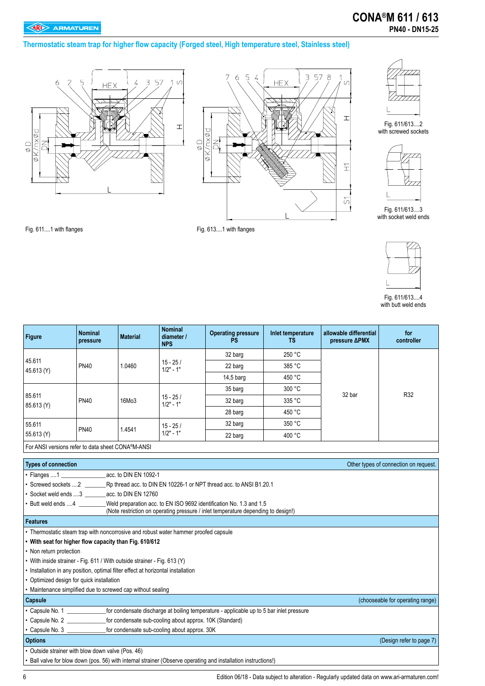### **Thermostatic steam trap for higher flow capacity (Forged steel, High temperature steel, Stainless steel)**







Fig. 611/613....2 with screwed sockets



Fig. 611/613....3 with socket weld ends

Fig. 611....1 with flanges Fig. 613....1 with flanges



Fig. 611/613....4 with butt weld ends

| <b>Figure</b>                                                                       | <b>Nominal</b><br>pressure                                                                                     | <b>Material</b> | <b>Nominal</b><br>diameter /<br><b>NPS</b> | <b>Operating pressure</b><br><b>PS</b>                                                                                                                   | Inlet temperature<br><b>TS</b> | allowable differential<br>pressure <b>APMX</b> | for<br>controller                     |  |
|-------------------------------------------------------------------------------------|----------------------------------------------------------------------------------------------------------------|-----------------|--------------------------------------------|----------------------------------------------------------------------------------------------------------------------------------------------------------|--------------------------------|------------------------------------------------|---------------------------------------|--|
|                                                                                     |                                                                                                                |                 |                                            | 32 barg                                                                                                                                                  | 250 °C                         |                                                |                                       |  |
| 45.611<br>45.613 (Y)                                                                | <b>PN40</b>                                                                                                    | 1.0460          | $15 - 25/$<br>$1/2" - 1"$                  | 22 barg                                                                                                                                                  | 385 °C                         |                                                |                                       |  |
|                                                                                     |                                                                                                                |                 |                                            | 14,5 barg                                                                                                                                                | 450 °C                         |                                                |                                       |  |
|                                                                                     |                                                                                                                |                 |                                            | 35 barg                                                                                                                                                  | 300 °C                         |                                                |                                       |  |
| 85.611                                                                              | <b>PN40</b>                                                                                                    | 16Mo3           | $15 - 25/$<br>$1/2" - 1"$                  | 32 barg                                                                                                                                                  | 335 °C                         | 32 bar                                         | R32                                   |  |
| 85.613 (Y)                                                                          |                                                                                                                |                 |                                            | 28 barg                                                                                                                                                  | 450 °C                         |                                                |                                       |  |
| 55.611                                                                              |                                                                                                                |                 | $15 - 25/$                                 | 32 barg                                                                                                                                                  | 350 °C                         |                                                |                                       |  |
| 55.613 (Y)                                                                          | <b>PN40</b>                                                                                                    | 1.4541          | $1/2" - 1"$                                | 22 barg                                                                                                                                                  | 400 °C                         |                                                |                                       |  |
| For ANSI versions refer to data sheet CONA®M-ANSI                                   |                                                                                                                |                 |                                            |                                                                                                                                                          |                                |                                                |                                       |  |
|                                                                                     |                                                                                                                |                 |                                            |                                                                                                                                                          |                                |                                                |                                       |  |
| <b>Types of connection</b>                                                          |                                                                                                                |                 |                                            |                                                                                                                                                          |                                |                                                | Other types of connection on request. |  |
|                                                                                     |                                                                                                                |                 |                                            |                                                                                                                                                          |                                |                                                |                                       |  |
|                                                                                     |                                                                                                                |                 |                                            | • Screwed sockets 2 Rp thread acc. to DIN EN 10226-1 or NPT thread acc. to ANSI B1.20.1                                                                  |                                |                                                |                                       |  |
| • Socket weld ends 3 ________ acc. to DIN EN 12760                                  |                                                                                                                |                 |                                            |                                                                                                                                                          |                                |                                                |                                       |  |
| • Butt weld ends 4                                                                  |                                                                                                                |                 |                                            | Weld preparation acc. to EN ISO 9692 identification No. 1.3 and 1.5<br>(Note restriction on operating pressure / inlet temperature depending to design!) |                                |                                                |                                       |  |
| <b>Features</b>                                                                     |                                                                                                                |                 |                                            |                                                                                                                                                          |                                |                                                |                                       |  |
| • Thermostatic steam trap with noncorrosive and robust water hammer proofed capsule |                                                                                                                |                 |                                            |                                                                                                                                                          |                                |                                                |                                       |  |
| • With seat for higher flow capacity than Fig. 610/612                              |                                                                                                                |                 |                                            |                                                                                                                                                          |                                |                                                |                                       |  |
| • Non return protection                                                             |                                                                                                                |                 |                                            |                                                                                                                                                          |                                |                                                |                                       |  |
| • With inside strainer - Fig. 611 / With outside strainer - Fig. 613 (Y)            |                                                                                                                |                 |                                            |                                                                                                                                                          |                                |                                                |                                       |  |
| • Installation in any position, optimal filter effect at horizontal installation    |                                                                                                                |                 |                                            |                                                                                                                                                          |                                |                                                |                                       |  |
| • Optimized design for quick installation                                           |                                                                                                                |                 |                                            |                                                                                                                                                          |                                |                                                |                                       |  |
| • Maintenance simplified due to screwed cap without sealing                         |                                                                                                                |                 |                                            |                                                                                                                                                          |                                |                                                |                                       |  |
| Capsule                                                                             |                                                                                                                |                 |                                            |                                                                                                                                                          |                                |                                                | (chooseable for operating range)      |  |
|                                                                                     |                                                                                                                |                 |                                            | . Capsule No. 1 ___________________for condensate discharge at boiling temperature - applicable up to 5 bar inlet pressure                               |                                |                                                |                                       |  |
| • Capsule No. 2 for condensate sub-cooling about approx. 10K (Standard)             |                                                                                                                |                 |                                            |                                                                                                                                                          |                                |                                                |                                       |  |
| • Capsule No. 3 for condensate sub-cooling about approx. 30K                        |                                                                                                                |                 |                                            |                                                                                                                                                          |                                |                                                |                                       |  |
| <b>Options</b>                                                                      | (Design refer to page 7)                                                                                       |                 |                                            |                                                                                                                                                          |                                |                                                |                                       |  |
|                                                                                     | • Outside strainer with blow down valve (Pos. 46)                                                              |                 |                                            |                                                                                                                                                          |                                |                                                |                                       |  |
|                                                                                     | • Ball valve for blow down (pos. 56) with internal strainer (Observe operating and installation instructions!) |                 |                                            |                                                                                                                                                          |                                |                                                |                                       |  |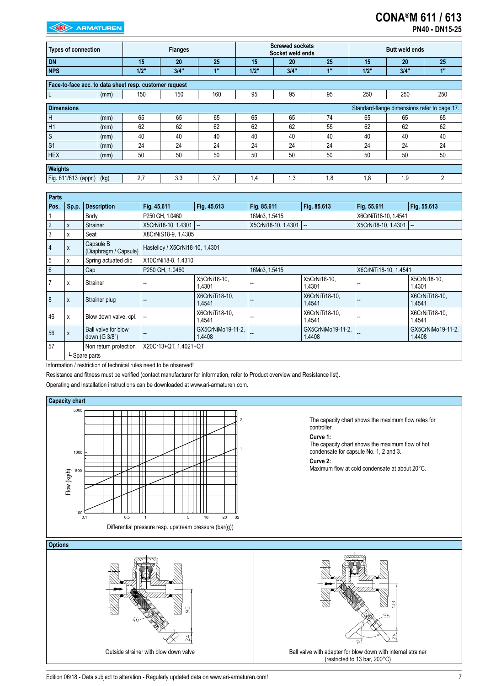## **CONA®M 611 / 613 PN40 - DN15-25**

| <b>Types of connection</b>                             |      | <b>Flanges</b> |      |     | <b>Screwed sockets</b><br>Socket weld ends |      |     | <b>Butt weld ends</b> |                                              |                |
|--------------------------------------------------------|------|----------------|------|-----|--------------------------------------------|------|-----|-----------------------|----------------------------------------------|----------------|
| <b>DN</b>                                              |      | 15             | 20   | 25  | 15                                         | 20   | 25  | 15                    | 20                                           | 25             |
| <b>NPS</b>                                             |      | 1/2"           | 3/4" | 1"  | 1/2"                                       | 3/4" | 1"  | 1/2"                  | 3/4"                                         | 1"             |
| Face-to-face acc. to data sheet resp. customer request |      |                |      |     |                                            |      |     |                       |                                              |                |
|                                                        | (mm) | 150            | 150  | 160 | 95                                         | 95   | 95  | 250                   | 250                                          | 250            |
| <b>Dimensions</b>                                      |      |                |      |     |                                            |      |     |                       | Standard-flange dimensions refer to page 17. |                |
| Н                                                      | (mm) | 65             | 65   | 65  | 65                                         | 65   | 74  | 65                    | 65                                           | 65             |
| H1                                                     | (mm) | 62             | 62   | 62  | 62                                         | 62   | 55  | 62                    | 62                                           | 62             |
| S                                                      | (mm) | 40             | 40   | 40  | 40                                         | 40   | 40  | 40                    | 40                                           | 40             |
| S <sub>1</sub>                                         | (mm) | 24             | 24   | 24  | 24                                         | 24   | 24  | 24                    | 24                                           | 24             |
| <b>HEX</b>                                             | (mm) | 50             | 50   | 50  | 50                                         | 50   | 50  | 50                    | 50                                           | 50             |
| Weights                                                |      |                |      |     |                                            |      |     |                       |                                              |                |
|                                                        |      |                |      |     |                                            |      |     |                       |                                              |                |
| Fig. 611/613 (appr.)                                   | (kg) | 2.7            | 3.3  | 3.7 | 1,4                                        | 1,3  | 1,8 | 1,8                   | 1,9                                          | $\overline{2}$ |

| Parts          |               |                                                |                                 |                             |                       |                             |                        |                             |
|----------------|---------------|------------------------------------------------|---------------------------------|-----------------------------|-----------------------|-----------------------------|------------------------|-----------------------------|
| Pos.           | Sp.p.         | <b>Description</b>                             | Fig. 45.611                     | Fig. 45.613                 | Fig. 85.611           | Fig. 85.613                 | Fig. 55.611            | Fig. 55.613                 |
|                |               | Body                                           | P250 GH, 1.0460                 |                             | 16Mo3, 1.5415         |                             |                        | X6CrNiTi18-10, 1.4541       |
| $\overline{2}$ | X             | Strainer                                       | X5CrNi18-10, 1.4301 --          |                             | X5CrNi18-10, 1.4301 - |                             | X5CrNi18-10, 1.4301 -- |                             |
| $\sqrt{3}$     | x             | Seat                                           | X8CrNiS18-9, 1.4305             |                             |                       |                             |                        |                             |
| $\overline{4}$ | X             | Capsule B<br>(Diaphragm / Capsule)             | Hastelloy / X5CrNi18-10, 1.4301 |                             |                       |                             |                        |                             |
| 5              | x             | Spring actuated clip                           | X10CrNi18-8, 1.4310             |                             |                       |                             |                        |                             |
| $6\phantom{1}$ |               | Cap                                            | P250 GH, 1.0460                 |                             | 16Mo3, 1.5415         |                             | X6CrNiTi18-10, 1.4541  |                             |
| $\overline{7}$ | x             | Strainer                                       |                                 | X5CrNi18-10,<br>1.4301      |                       | X5CrNi18-10.<br>1.4301      |                        | X5CrNi18-10,<br>1.4301      |
| 8              | $\mathsf{x}$  | Strainer plug                                  |                                 | X6CrNiTi18-10,<br>1.4541    |                       | X6CrNiTi18-10.<br>1.4541    |                        | X6CrNiTi18-10,<br>1.4541    |
| 46             | X             | Blow down valve, cpl.                          |                                 | X6CrNiTi18-10,<br>1.4541    |                       | X6CrNiTi18-10.<br>1.4541    |                        | X6CrNiTi18-10.<br>1.4541    |
| 56             | $\mathsf{x}$  | Ball valve for blow<br>down (G 3/8")           |                                 | GX5CrNiMo19-11-2,<br>1.4408 |                       | GX5CrNiMo19-11-2.<br>1.4408 |                        | GX5CrNiMo19-11-2,<br>1.4408 |
| 57             |               | X20Cr13+QT. 1.4021+QT<br>Non return protection |                                 |                             |                       |                             |                        |                             |
|                | L Spare parts |                                                |                                 |                             |                       |                             |                        |                             |

Information / restriction of technical rules need to be observed!

Resistance and fitness must be verified (contact manufacturer for information, refer to Product overview and Resistance list).

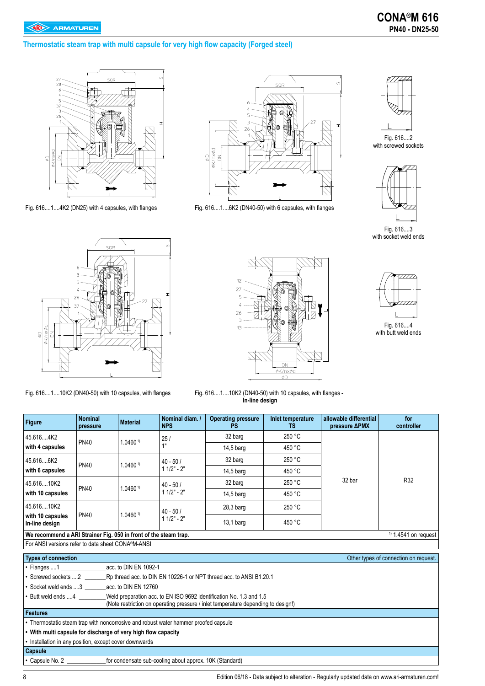#### **Thermostatic steam trap with multi capsule for very high flow capacity (Forged steel)**





Fig. 616....1....4K2 (DN25) with 4 capsules, with flanges Fig. 616....1....6K2 (DN40-50) with 6 capsules, with flanges



Fig. 616....2 with screwed sockets



Fig. 616....3 with socket weld ends







Fig. 616....4 with butt weld ends

Fig. 616....1....10K2 (DN40-50) with 10 capsules, with flanges Fig. 616....1....10K2 (DN40-50) with 10 capsules, with flanges - **In-line design**

| <b>Figure</b>                                                                             | <b>Nominal</b><br>pressure | <b>Material</b>       | Nominal diam. /<br><b>NPS</b> | <b>Operating pressure</b><br>PS. | Inlet temperature<br>TS. | allowable differential<br>pressure <b>APMX</b> | for<br>controller                     |
|-------------------------------------------------------------------------------------------|----------------------------|-----------------------|-------------------------------|----------------------------------|--------------------------|------------------------------------------------|---------------------------------------|
| 45.6164K2                                                                                 | <b>PN40</b>                | 1.0460 <sup>1</sup>   | 25/                           | 32 barg                          | 250 °C                   |                                                | R32                                   |
| with 4 capsules                                                                           |                            |                       | 1"                            | $14.5b$ arq                      | 450 °C                   |                                                |                                       |
| 45.6166K2                                                                                 | <b>PN40</b>                | 1.0460 <sup>1</sup>   | $40 - 50/$                    | 32 barg                          | 250 °C                   |                                                |                                       |
| with 6 capsules                                                                           |                            |                       | $11/2" - 2"$                  | $14,5$ barg                      | 450 °C                   |                                                |                                       |
| 45.61610K2                                                                                |                            |                       | $40 - 50/$<br>$11/2" - 2"$    | 32 barg                          | 250 °C                   | 32 bar                                         |                                       |
| with 10 capsules                                                                          | <b>PN40</b>                | 1.0460 <sup>1</sup>   |                               | $14.5b$ arq                      | 450 °C                   |                                                |                                       |
| 45.61610K2                                                                                |                            |                       | $40 - 50/$<br>$11/2" - 2"$    | $28,3$ barg                      | 250 °C                   |                                                |                                       |
| with 10 capsules<br>In-line design                                                        | <b>PN40</b>                | 1.0460 <sup>1</sup>   |                               | $13,1$ barg                      | 450 °C                   |                                                |                                       |
| We recommend a ARI Strainer Fig. 050 in front of the steam trap.                          |                            |                       |                               |                                  |                          |                                                | $\frac{1}{1}$ 1.4541 on request       |
| For ANSI versions refer to data sheet CONA®M-ANSI                                         |                            |                       |                               |                                  |                          |                                                |                                       |
| <b>Types of connection</b>                                                                |                            |                       |                               |                                  |                          |                                                | Other types of connection on request. |
| $\cdot$ Flanges  1                                                                        |                            | acc. to DIN EN 1092-1 |                               |                                  |                          |                                                |                                       |
|                                                                                           |                            |                       |                               |                                  |                          |                                                |                                       |
| • Socket weld ends 3 acc. to DIN EN 12760                                                 |                            |                       |                               |                                  |                          |                                                |                                       |
| • Butt weld ends 4<br>Weld preparation acc. to EN ISO 9692 identification No. 1.3 and 1.5 |                            |                       |                               |                                  |                          |                                                |                                       |

(Note restriction on operating pressure / inlet temperature depending to design!)

**Features** 

• Thermostatic steam trap with noncorrosive and robust water hammer proofed capsule

**• With multi capsule for discharge of very high flow capacity**

• Installation in any position, except cover downwards

**Capsule** 

• Capsule No. 2 \_\_\_\_\_\_\_\_\_\_\_\_\_for condensate sub-cooling about approx. 10K (Standard)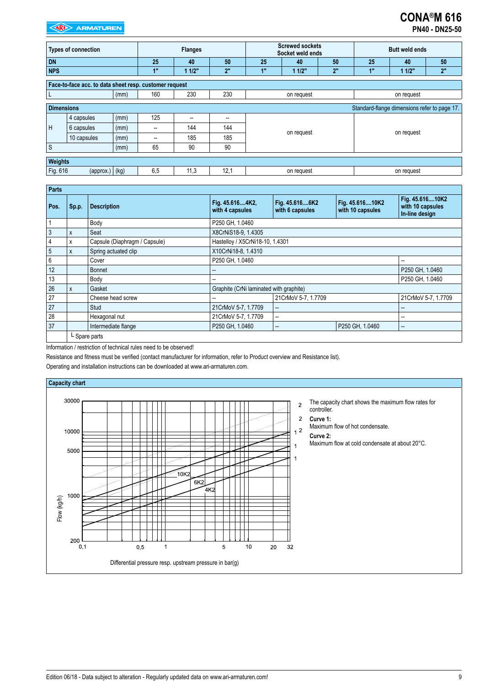| <b>PN40 - DN25-50</b> |
|-----------------------|
|                       |

| <b>Types of connection</b>                                        |                                                        |      | <b>Flanges</b> |       |      | <b>Screwed sockets</b><br>Socket weld ends |            |    | <b>Butt weld ends</b> |            |    |
|-------------------------------------------------------------------|--------------------------------------------------------|------|----------------|-------|------|--------------------------------------------|------------|----|-----------------------|------------|----|
| <b>DN</b>                                                         |                                                        |      | 25             | 40    | 50   | 25                                         | 40         | 50 | 25                    | 40         | 50 |
| <b>NPS</b>                                                        |                                                        |      | 1"             | 11/2" | 2"   | 1"                                         | 11/2"      | 2" | 1"                    | 11/2"      | 2" |
|                                                                   | Face-to-face acc. to data sheet resp. customer request |      |                |       |      |                                            |            |    |                       |            |    |
| (mm)                                                              |                                                        |      | 160            | 230   | 230  | on request<br>on request                   |            |    |                       |            |    |
| <b>Dimensions</b><br>Standard-flange dimensions refer to page 17. |                                                        |      |                |       |      |                                            |            |    |                       |            |    |
|                                                                   | 4 capsules                                             | (mm) | 125            | $- -$ | --   |                                            |            |    |                       |            |    |
| H                                                                 | 6 capsules                                             | (mm) | $- -$          | 144   | 144  |                                            |            |    | on request            |            |    |
|                                                                   | 10 capsules                                            | (mm) | $-$            | 185   | 185  |                                            | on request |    |                       |            |    |
| $\mathsf{S}$                                                      |                                                        | (mm) | 65             | 90    | 90   |                                            |            |    |                       |            |    |
|                                                                   | Weights                                                |      |                |       |      |                                            |            |    |                       |            |    |
| Fig. 616                                                          | $(\text{approx.})   (\text{kg})$                       |      | 6.5            | 11,3  | 12,1 |                                            | on request |    |                       | on request |    |

| <b>Parts</b> |       |                               |                                         |                                   |                                     |                                                       |  |  |  |  |
|--------------|-------|-------------------------------|-----------------------------------------|-----------------------------------|-------------------------------------|-------------------------------------------------------|--|--|--|--|
| Pos.         | Sp.p. | <b>Description</b>            | Fig. 45.6164K2,<br>with 4 capsules      | Fig. 45.6166K2<br>with 6 capsules | Fig. 45.61610K2<br>with 10 capsules | Fig. 45.61610K2<br>with 10 capsules<br>In-line design |  |  |  |  |
|              |       | Body                          | P250 GH, 1.0460                         |                                   |                                     |                                                       |  |  |  |  |
| 3            | X     | Seat                          | X8CrNiS18-9, 1.4305                     |                                   |                                     |                                                       |  |  |  |  |
|              | x     | Capsule (Diaphragm / Capsule) |                                         | Hastelloy / X5CrNi18-10, 1.4301   |                                     |                                                       |  |  |  |  |
| 5            | X     | Spring actuated clip          | X10CrNi18-8, 1.4310                     |                                   |                                     |                                                       |  |  |  |  |
| 6            |       | Cover                         | P250 GH, 1.0460<br>$-$                  |                                   |                                     |                                                       |  |  |  |  |
| 12           |       | <b>Bonnet</b>                 |                                         |                                   |                                     | P250 GH, 1.0460                                       |  |  |  |  |
| 13           |       | Body                          |                                         |                                   |                                     | P250 GH, 1.0460                                       |  |  |  |  |
| 26           | X     | Gasket                        | Graphite (CrNi laminated with graphite) |                                   |                                     |                                                       |  |  |  |  |
| 27           |       | Cheese head screw             |                                         | 21CrMoV 5-7, 1.7709               |                                     | 21CrMoV 5-7, 1.7709                                   |  |  |  |  |
| 27           |       | <b>Stud</b>                   | 21CrMoV 5-7, 1.7709                     | --                                |                                     |                                                       |  |  |  |  |
| 28           |       | Hexagonal nut                 | 21CrMoV 5-7, 1.7709                     | --                                |                                     | --                                                    |  |  |  |  |
| 37           |       | Intermediate flange           | P250 GH, 1.0460                         | --                                | P250 GH, 1.0460                     | $\hspace{0.05cm}$                                     |  |  |  |  |
|              |       | $L$ Spare parts               |                                         |                                   |                                     |                                                       |  |  |  |  |

Information / restriction of technical rules need to be observed!

Resistance and fitness must be verified (contact manufacturer for information, refer to Product overview and Resistance list).

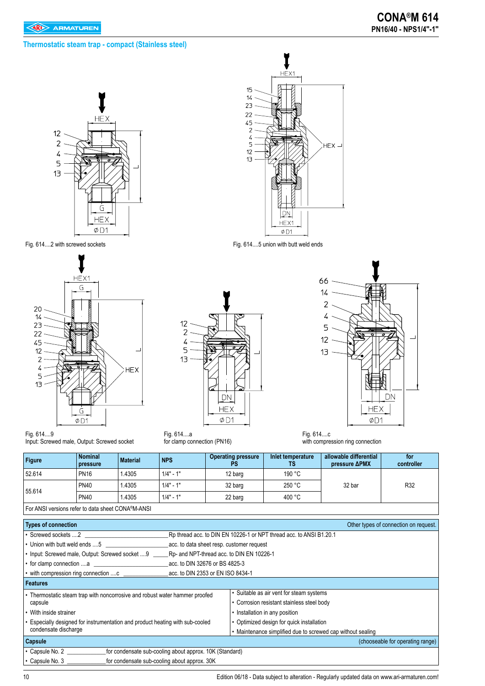#### **Thermostatic steam trap - compact (Stainless steel)**





 $12$  $\overline{c}$  $\overline{4}$ 5  $13$ **DN HEX**  $\emptyset$ D1

Fig. 614....a for clamp connection (PN16)



Fig. 614....2 with screwed sockets Fig. 614....5 union with butt weld ends



Fig. 614....c with compression ring connection

| <b>Figure</b> | <b>Nominal</b><br>pressure | <b>Material</b> | <b>NPS</b>  | <b>Operating pressure</b><br>PS | Inlet temperature<br>TS | allowable differential<br>pressure <b>APMX</b> | for<br>controller |
|---------------|----------------------------|-----------------|-------------|---------------------------------|-------------------------|------------------------------------------------|-------------------|
| 52.614        | <b>PN16</b>                | 1.4305          | $1/4" - 1"$ | 12 barg                         | 190 °C                  |                                                |                   |
| 55.614        | <b>PN40</b>                | 1.4305          | $1/4" - 1"$ | 32 barg                         | 250 °C                  | 32 bar                                         | R32               |
|               | <b>PN40</b>                | 1.4305          | $1/4" - 1"$ | 22 barg                         | 400 °C                  |                                                |                   |

For ANSI versions refer to data sheet CONA®M-ANSI

Input: Screwed male, Output: Screwed socket

| <b>Types of connection</b>                                                       |                                           |                                                                     | Other types of connection on request. |  |  |
|----------------------------------------------------------------------------------|-------------------------------------------|---------------------------------------------------------------------|---------------------------------------|--|--|
| ∙ Screwed sockets 2                                                              |                                           | Rp thread acc. to DIN EN 10226-1 or NPT thread acc. to ANSI B1.20.1 |                                       |  |  |
| $\blacktriangleright$ Union with butt weld ends 5                                | acc. to data sheet resp. customer request |                                                                     |                                       |  |  |
| • Input: Screwed male, Output: Screwed socket  9                                 | Rp- and NPT-thread acc. to DIN EN 10226-1 |                                                                     |                                       |  |  |
| • for clamp connection a                                                         | acc. to DIN 32676 or BS 4825-3            |                                                                     |                                       |  |  |
| • with compression ring connection c _______                                     | acc. to DIN 2353 or EN ISO 8434-1         |                                                                     |                                       |  |  |
| Features                                                                         |                                           |                                                                     |                                       |  |  |
| • Thermostatic steam trap with noncorrosive and robust water hammer proofed      |                                           | • Suitable as air vent for steam systems                            |                                       |  |  |
| capsule                                                                          |                                           | • Corrosion resistant stainless steel body                          |                                       |  |  |
| • With inside strainer                                                           |                                           | • Installation in any position                                      |                                       |  |  |
| • Especially designed for instrumentation and product heating with sub-cooled    |                                           | • Optimized design for quick installation                           |                                       |  |  |
| condensate discharge                                                             |                                           | • Maintenance simplified due to screwed cap without sealing         |                                       |  |  |
| <b>Capsule</b>                                                                   |                                           |                                                                     | (chooseable for operating range)      |  |  |
| for condensate sub-cooling about approx. 10K (Standard)<br>$\cdot$ Capsule No. 2 |                                           |                                                                     |                                       |  |  |
| $\cdot$ Capsule No. 3<br>for condensate sub-cooling about approx. 30K            |                                           |                                                                     |                                       |  |  |

10 Edition 06/18 - Data subject to alteration - Regularly updated data on www.ari-armaturen.com!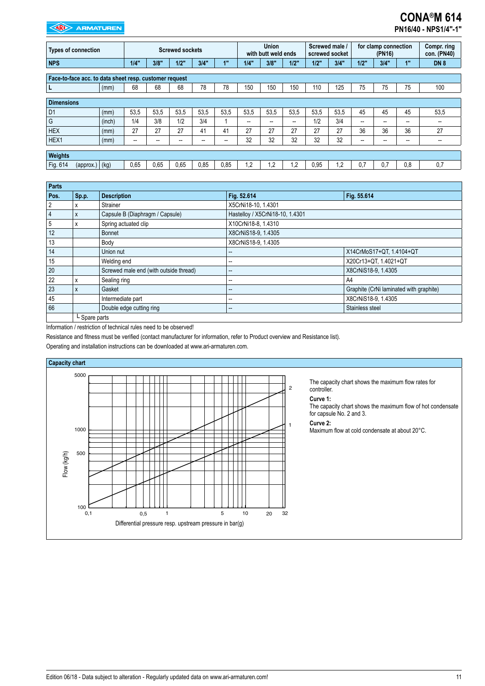# **CONA®M 614**

**PN16/40 - NPS1/4"-1"**

| <b>Types of connection</b>                             |        | <b>Screwed sockets</b> |                   |                   | <b>Union</b><br>with butt weld ends |                   | Screwed male /<br>screwed socket |                          | for clamp connection<br>(PN16) |      | Compr. ring<br>con. (PN40) |                          |      |                          |            |
|--------------------------------------------------------|--------|------------------------|-------------------|-------------------|-------------------------------------|-------------------|----------------------------------|--------------------------|--------------------------------|------|----------------------------|--------------------------|------|--------------------------|------------|
| <b>NPS</b>                                             |        | 1/4"                   | 3/8"              | 1/2"              | 3/4"                                | 1"                | 1/4"                             | 3/8"                     | $1/2$ "                        | 1/2" | 3/4"                       | 1/2"                     | 3/4" | 1"                       | <b>DN8</b> |
| Face-to-face acc. to data sheet resp. customer request |        |                        |                   |                   |                                     |                   |                                  |                          |                                |      |                            |                          |      |                          |            |
| L                                                      | (mm)   | 68                     | 68                | 68                | 78                                  | 78                | 150                              | 150                      | 150                            | 110  | 125                        | 75                       | 75   | 75                       | 100        |
| <b>Dimensions</b>                                      |        |                        |                   |                   |                                     |                   |                                  |                          |                                |      |                            |                          |      |                          |            |
| D <sub>1</sub>                                         | (mm)   | 53,5                   | 53,5              | 53.5              | 53,5                                | 53,5              | 53,5                             | 53.5                     | 53,5                           | 53,5 | 53.5                       | 45                       | 45   | 45                       | 53,5       |
| G                                                      | (inch) | 1/4                    | 3/8               | 1/2               | 3/4                                 |                   | $\overline{\phantom{a}}$         | $\overline{\phantom{a}}$ | $\overline{\phantom{a}}$       | 1/2  | 3/4                        | $\overline{\phantom{a}}$ | --   | $\overline{\phantom{a}}$ | --         |
| <b>HEX</b>                                             | (mm)   | 27                     | 27                | 27                | 41                                  | 41                | 27                               | 27                       | 27                             | 27   | 27                         | 36                       | 36   | 36                       | 27         |
| HEX1                                                   | (mm)   | --                     | $\hspace{0.05cm}$ | $\hspace{0.05cm}$ | $\overline{\phantom{a}}$            | $\hspace{0.05cm}$ | 32                               | 32                       | 32                             | 32   | 32                         | --                       | $-$  | --                       | --         |
| Weights                                                |        |                        |                   |                   |                                     |                   |                                  |                          |                                |      |                            |                          |      |                          |            |
| Fig. 614<br>(approx.) (kg)                             |        | 0.65                   | 0.65              | 0,65              | 0,85                                | 0,85              | $\overline{.2}$                  | 1,2                      | 1.2                            | 0,95 | $\cdot$                    | 0.7                      | 0.7  | 0.8                      | 0,7        |

| Parts          |               |                                        |                                 |                                         |  |  |  |
|----------------|---------------|----------------------------------------|---------------------------------|-----------------------------------------|--|--|--|
| Pos.           | Sp.p.         | <b>Description</b>                     | Fig. 52.614                     | Fig. 55.614                             |  |  |  |
| 2              | x             | Strainer                               | X5CrNi18-10, 1.4301             |                                         |  |  |  |
| $\overline{4}$ | X             | Capsule B (Diaphragm / Capsule)        | Hastelloy / X5CrNi18-10, 1.4301 |                                         |  |  |  |
| 5              | x             | Spring actuated clip                   | X10CrNi18-8, 1.4310             |                                         |  |  |  |
| 12             |               | <b>Bonnet</b>                          | X8CrNiS18-9, 1.4305             |                                         |  |  |  |
| 13             |               | Body                                   | X8CrNiS18-9, 1.4305             |                                         |  |  |  |
| 14             |               | Union nut                              |                                 | X14CrMoS17+QT, 1.4104+QT                |  |  |  |
| 15             |               | Welding end                            | $- -$                           | X20Cr13+QT, 1.4021+QT                   |  |  |  |
| 20             |               | Screwed male end (with outside thread) | --                              | X8CrNiS18-9, 1.4305                     |  |  |  |
| 22             | x             | Sealing ring                           | $- -$                           | A4                                      |  |  |  |
| 23             | X             | Gasket                                 | $- -$                           | Graphite (CrNi laminated with graphite) |  |  |  |
| 45             |               | Intermediate part                      | $- -$                           | X8CrNiS18-9, 1.4305                     |  |  |  |
| 66             |               | Double edge cutting ring               | $\qquad \qquad \cdots$          | Stainless steel                         |  |  |  |
|                | L Spare parts |                                        |                                 |                                         |  |  |  |

Information / restriction of technical rules need to be observed!

Resistance and fitness must be verified (contact manufacturer for information, refer to Product overview and Resistance list).

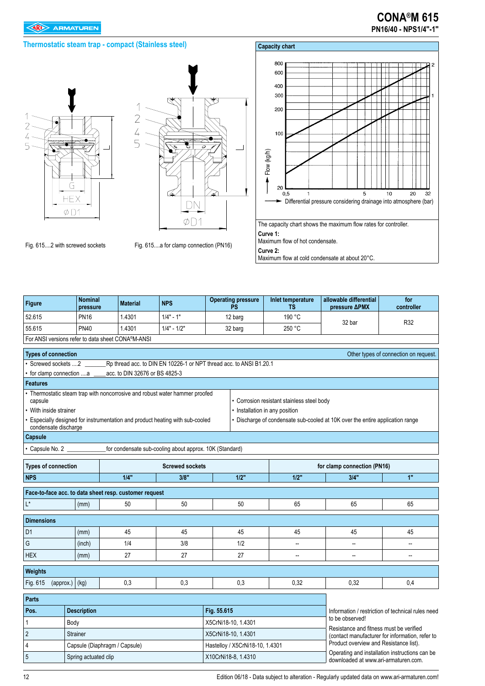#### **Thermostatic steam trap - compact (Stainless steel)**

# $\overline{\phantom{a}}$  $\overline{2}$  $\overline{4}$ 5 G **HEX**  $\emptyset$  D1



Fig. 615....2 with screwed sockets Fig. 615....a for clamp connection (PN16)



| <b>Figure</b>              | <b>Nominal</b><br>pressure | <b>Material</b>                                                             | <b>NPS</b>             | <b>Operating pressure</b><br>PS                                     | Inlet temperature<br>ΤS                                                   | allowable differential<br>pressure <b>APMX</b>                                             | for<br>controller                                 |  |  |
|----------------------------|----------------------------|-----------------------------------------------------------------------------|------------------------|---------------------------------------------------------------------|---------------------------------------------------------------------------|--------------------------------------------------------------------------------------------|---------------------------------------------------|--|--|
| 52.615                     | <b>PN16</b>                | 1.4301                                                                      | $1/4" - 1"$            | 12 barg                                                             | 190 °C                                                                    |                                                                                            |                                                   |  |  |
| 55.615                     | <b>PN40</b>                | 1.4301                                                                      | $1/4" - 1/2"$          | 32 barg                                                             | 250 °C                                                                    | 32 bar                                                                                     | R32                                               |  |  |
|                            |                            | For ANSI versions refer to data sheet CONA®M-ANSI                           |                        |                                                                     |                                                                           |                                                                                            |                                                   |  |  |
| <b>Types of connection</b> |                            |                                                                             |                        |                                                                     |                                                                           |                                                                                            | Other types of connection on request.             |  |  |
| • Screwed sockets 2        |                            |                                                                             |                        | Rp thread acc. to DIN EN 10226-1 or NPT thread acc. to ANSI B1.20.1 |                                                                           |                                                                                            |                                                   |  |  |
| for clamp connection a     |                            | acc. to DIN 32676 or BS 4825-3                                              |                        |                                                                     |                                                                           |                                                                                            |                                                   |  |  |
| <b>Features</b>            |                            |                                                                             |                        |                                                                     |                                                                           |                                                                                            |                                                   |  |  |
| capsule                    |                            | • Thermostatic steam trap with noncorrosive and robust water hammer proofed |                        |                                                                     | • Corrosion resistant stainless steel body                                |                                                                                            |                                                   |  |  |
| • With inside strainer     |                            |                                                                             |                        |                                                                     | • Installation in any position                                            |                                                                                            |                                                   |  |  |
| condensate discharge       |                            | Especially designed for instrumentation and product heating with sub-cooled |                        |                                                                     |                                                                           | • Discharge of condensate sub-cooled at 10K over the entire application range              |                                                   |  |  |
| Capsule                    |                            |                                                                             |                        |                                                                     |                                                                           |                                                                                            |                                                   |  |  |
| Capsule No. 2              |                            | for condensate sub-cooling about approx. 10K (Standard)                     |                        |                                                                     |                                                                           |                                                                                            |                                                   |  |  |
|                            |                            |                                                                             |                        |                                                                     |                                                                           |                                                                                            |                                                   |  |  |
| <b>Types of connection</b> |                            |                                                                             | <b>Screwed sockets</b> |                                                                     |                                                                           | for clamp connection (PN16)                                                                |                                                   |  |  |
| <b>NPS</b>                 |                            | 1/4"                                                                        | 3/8"                   | 1/2"                                                                | 1/2"                                                                      | 3/4"                                                                                       | 1"                                                |  |  |
|                            |                            | Face-to-face acc. to data sheet resp. customer request                      |                        |                                                                     |                                                                           |                                                                                            |                                                   |  |  |
| $\mathsf{L}^\star$         | (mm)                       | 50                                                                          | 50                     | 50                                                                  | 65                                                                        | 65                                                                                         | 65                                                |  |  |
| <b>Dimensions</b>          |                            |                                                                             |                        |                                                                     |                                                                           |                                                                                            |                                                   |  |  |
| D <sub>1</sub>             | (mm)                       | 45                                                                          | 45                     | 45                                                                  | 45                                                                        | 45                                                                                         | 45                                                |  |  |
| G                          | (inch)                     | 1/4                                                                         | 3/8                    | 1/2                                                                 | --                                                                        | --                                                                                         | --                                                |  |  |
| <b>HEX</b>                 | (mm)                       | 27                                                                          | 27                     | 27                                                                  | −−                                                                        | −−                                                                                         | $\overline{\phantom{a}}$                          |  |  |
| Weights                    |                            |                                                                             |                        |                                                                     |                                                                           |                                                                                            |                                                   |  |  |
| Fig. 615                   | (approx.) $(kg)$           | 0,3                                                                         | 0,3                    | 0,3                                                                 | 0,32                                                                      | 0,32                                                                                       | 0,4                                               |  |  |
| <b>Parts</b>               |                            |                                                                             |                        |                                                                     |                                                                           |                                                                                            |                                                   |  |  |
| Pos.                       | <b>Description</b>         |                                                                             |                        | Fig. 55.615                                                         |                                                                           |                                                                                            | Information / restriction of technical rules need |  |  |
| 1                          | Body                       |                                                                             |                        | X5CrNi18-10, 1.4301                                                 |                                                                           | to be observed!                                                                            |                                                   |  |  |
| $\sqrt{2}$                 | Strainer                   |                                                                             |                        | X5CrNi18-10, 1.4301                                                 |                                                                           | Resistance and fitness must be verified<br>(contact manufacturer for information, refer to |                                                   |  |  |
| $\overline{4}$             |                            | Capsule (Diaphragm / Capsule)                                               |                        |                                                                     | Product overview and Resistance list).<br>Hastelloy / X5CrNi18-10, 1.4301 |                                                                                            |                                                   |  |  |

12 Edition 06/18 - Data subject to alteration - Regularly updated data on www.ari-armaturen.com!

Operating and installation instructions can be downloaded at www.ari-armaturen.com.

5 Spring actuated clip X10CrNi18-8, 1.4310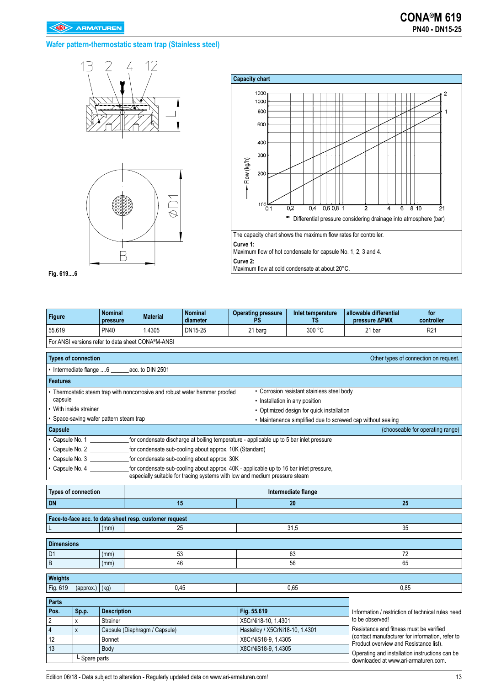### **Wafer pattern-thermostatic steam trap (Stainless steel)**







Maximum flow of hot condensate for capsule No. 1, 2, 3 and 4. **Curve 2:**  Maximum flow at cold condensate at about 20°C.

**Fig. 619....6**

| Figure                     |                                                               | <b>Nominal</b><br>pressure            | <b>Material</b>                                                           | <b>Nominal</b><br>diameter | <b>Operating pressure</b><br><b>PS</b>                                                                                                                               | Inlet temperature<br>TS                                                      | allowable differential<br>pressure <b>APMX</b> | for<br>controller                                 |
|----------------------------|---------------------------------------------------------------|---------------------------------------|---------------------------------------------------------------------------|----------------------------|----------------------------------------------------------------------------------------------------------------------------------------------------------------------|------------------------------------------------------------------------------|------------------------------------------------|---------------------------------------------------|
| 55.619                     |                                                               | <b>PN40</b>                           | 1.4305                                                                    | DN15-25                    | 21 barg                                                                                                                                                              | 300 °C                                                                       | 21 bar                                         | R <sub>21</sub>                                   |
|                            |                                                               |                                       | For ANSI versions refer to data sheet CONA®M-ANSI                         |                            |                                                                                                                                                                      |                                                                              |                                                |                                                   |
|                            | <b>Types of connection</b>                                    |                                       |                                                                           |                            |                                                                                                                                                                      |                                                                              |                                                | Other types of connection on request.             |
|                            |                                                               |                                       | Intermediate flange 6 _______ acc. to DIN 2501                            |                            |                                                                                                                                                                      |                                                                              |                                                |                                                   |
| <b>Features</b>            |                                                               |                                       |                                                                           |                            |                                                                                                                                                                      |                                                                              |                                                |                                                   |
| capsule                    |                                                               |                                       | Thermostatic steam trap with noncorrosive and robust water hammer proofed |                            |                                                                                                                                                                      | • Corrosion resistant stainless steel body<br>• Installation in any position |                                                |                                                   |
|                            | With inside strainer                                          |                                       |                                                                           |                            |                                                                                                                                                                      | • Optimized design for quick installation                                    |                                                |                                                   |
|                            |                                                               | Space-saving wafer pattern steam trap |                                                                           |                            |                                                                                                                                                                      | • Maintenance simplified due to screwed cap without sealing                  |                                                |                                                   |
| Capsule                    |                                                               |                                       |                                                                           |                            |                                                                                                                                                                      |                                                                              |                                                | (chooseable for operating range)                  |
| • Capsule No. 1            |                                                               |                                       |                                                                           |                            | for condensate discharge at boiling temperature - applicable up to 5 bar inlet pressure                                                                              |                                                                              |                                                |                                                   |
|                            |                                                               | • Capsule No. 2                       | for condensate sub-cooling about approx. 10K (Standard)                   |                            |                                                                                                                                                                      |                                                                              |                                                |                                                   |
|                            | for condensate sub-cooling about approx. 30K<br>Capsule No. 3 |                                       |                                                                           |                            |                                                                                                                                                                      |                                                                              |                                                |                                                   |
| • Capsule No. 4            |                                                               |                                       |                                                                           |                            | for condensate sub-cooling about approx. 40K - applicable up to 16 bar inlet pressure,<br>especially suitable for tracing systems with low and medium pressure steam |                                                                              |                                                |                                                   |
| <b>Types of connection</b> |                                                               |                                       |                                                                           |                            |                                                                                                                                                                      | Intermediate flange                                                          |                                                |                                                   |
| <b>DN</b>                  |                                                               |                                       | 15                                                                        |                            |                                                                                                                                                                      | 20                                                                           |                                                | 25                                                |
|                            |                                                               |                                       | Face-to-face acc. to data sheet resp. customer request                    |                            |                                                                                                                                                                      |                                                                              |                                                |                                                   |
| L                          |                                                               | (mm)                                  | 25                                                                        |                            |                                                                                                                                                                      | 31,5<br>35                                                                   |                                                |                                                   |
| <b>Dimensions</b>          |                                                               |                                       |                                                                           |                            |                                                                                                                                                                      |                                                                              |                                                |                                                   |
| D <sub>1</sub>             |                                                               |                                       |                                                                           | 53                         |                                                                                                                                                                      | 63                                                                           |                                                | 72                                                |
| $\mathsf B$                |                                                               | (mm)<br>(mm)                          |                                                                           | 46                         |                                                                                                                                                                      | 56                                                                           |                                                | 65                                                |
|                            |                                                               |                                       |                                                                           |                            |                                                                                                                                                                      |                                                                              |                                                |                                                   |
| Weights                    |                                                               |                                       |                                                                           |                            |                                                                                                                                                                      |                                                                              |                                                |                                                   |
| Fig. 619                   | $(\text{approx.})$ (kg)                                       |                                       | 0.45                                                                      |                            |                                                                                                                                                                      | 0.65                                                                         |                                                | 0.85                                              |
| Parts                      |                                                               |                                       |                                                                           |                            |                                                                                                                                                                      |                                                                              |                                                |                                                   |
| Pos.                       | Sp.p.                                                         | <b>Description</b>                    |                                                                           |                            | Fig. 55.619                                                                                                                                                          |                                                                              |                                                | Information / restriction of technical rules need |
| $\overline{2}$             | X                                                             | Strainer                              |                                                                           |                            | X5CrNi18-10, 1.4301                                                                                                                                                  |                                                                              | to be observed!                                |                                                   |
| $\overline{4}$             | $\mathsf{x}$                                                  |                                       | Capsule (Diaphragm / Capsule)                                             |                            | Hastelloy / X5CrNi18-10, 1.4301                                                                                                                                      |                                                                              | Resistance and fitness must be verified        | (contact manufacturer for information, refer to   |
| 12                         |                                                               | Bonnet                                |                                                                           |                            | X8CrNiS18-9, 1.4305                                                                                                                                                  |                                                                              | Product overview and Resistance list).         |                                                   |
| 13                         |                                                               | Body                                  |                                                                           |                            | X8CrNiS18-9, 1.4305                                                                                                                                                  |                                                                              |                                                | Operating and installation instructions can be    |
|                            | L Spare parts<br>downloaded at www.ari-armaturen.com.         |                                       |                                                                           |                            |                                                                                                                                                                      |                                                                              |                                                |                                                   |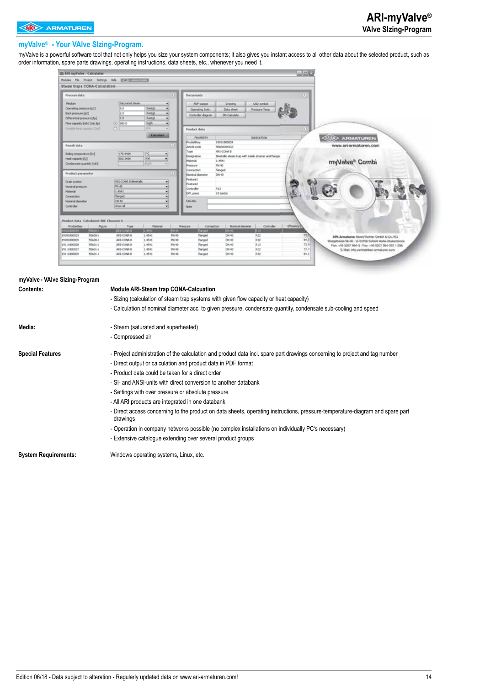#### **myValve® - Your VAlve SIzing-Program.**

myValve is a powerful software tool that not only helps you size your system components; it also gives you instant access to all other data about the selected product, such as order information, spare parts drawings, operating instructions, data sheets, etc., whenever you need it.

| <b>Eli ARI myValve - Calculator</b>                                                                                                                                                                                                 | $\n  0 X\n$                                                                                                                                                                                                                                              |  |
|-------------------------------------------------------------------------------------------------------------------------------------------------------------------------------------------------------------------------------------|----------------------------------------------------------------------------------------------------------------------------------------------------------------------------------------------------------------------------------------------------------|--|
| Modules Ple Project Settings Help (Evan accompanying)                                                                                                                                                                               |                                                                                                                                                                                                                                                          |  |
| Steam traps CONA-Calculation-                                                                                                                                                                                                       |                                                                                                                                                                                                                                                          |  |
| Process data                                                                                                                                                                                                                        | $\left( 0\right)$<br>$\infty$<br><b>Documents</b>                                                                                                                                                                                                        |  |
| Saturated steam<br><b>Hecker</b><br><b>R</b><br>barial<br>Operating pressure [pd]<br>Back pressure [p2]<br>2.0<br>barial<br>٠<br>bartisl<br>Differential pressure [Ap]<br>7.0<br>٠<br>Flow capacity [mhi] (at Ap)<br>C 900.0<br>kgh | <b>PDF-output</b><br>Drawing<br>CAD-overbol<br>킈<br>Data sheet<br><b>Pressure-Teng</b><br>Operating Instr.<br>Controller diagram<br>DN-Calculate                                                                                                         |  |
| Possible heat capacity [Om]<br>$\circ$<br><b>Calculate</b>                                                                                                                                                                          | Product data<br><b>PROPERTY</b><br><b>INDICATION</b><br><b>ARMATUREN</b>                                                                                                                                                                                 |  |
| Result data<br>Boling temperature [tn]<br>179.9404<br><b>WW</b><br>Heat capacity [Q]<br>503.3404<br>۰<br>Condensate quantity [mh]<br>oh                                                                                             | Produktiev<br>19101800034<br>www.eri-armaturen.com<br>œ<br><b>Article code</b><br>956000040G3<br>ARE-CONA B<br>Type<br>Binetalic steam trap with inside strainer and flanges<br>Designation<br>1.4541<br>Material<br>myValve® Combi<br>PN 40<br>Pressure |  |
| Product parameter                                                                                                                                                                                                                   | Connection<br>flanged<br>œ<br>Nominal diameter<br>CAL40                                                                                                                                                                                                  |  |
| AILS-CONA B-Bimetallo<br>Drain system<br>PN 40<br>Nominal pressure<br>1.4541<br>Material<br>Nanged<br>Connection<br>CAL 40<br>Nominal diameter<br>Controller<br>show all<br>٠                                                       | Feature1<br>Feature2<br>Controller<br>RED<br>DI <sup>V</sup> press<br>13 bar02<br>TAG-No.<br>Nobe                                                                                                                                                        |  |
| Product data Calculated: 386 Chooserc 6                                                                                                                                                                                             |                                                                                                                                                                                                                                                          |  |
| Material<br>Produktion<br>Flgure<br>Type<br><b>RANDELL</b><br><b>MISCONA B</b><br>001800034<br>1.4541                                                                                                                               | Ревозцие<br>Noninal diameter<br>Connection<br>Controller<br>I March<br><b>PM 40</b><br><b>Parced</b><br><b>DV40</b><br><b>P.13</b>                                                                                                                       |  |
| ARE-CONA B<br>19001800033<br>55600-1<br>1.4541                                                                                                                                                                                      | PM 40<br>Flanged<br>DRI 40<br>和故<br>72.<br>ARL-Ameadumen Nitran Vichter GmbH & Co.; KG.                                                                                                                                                                  |  |
| 55600-1<br>ARE-CONA B<br>1.4541<br>19101800009                                                                                                                                                                                      | PN 40<br>R32<br>94.5<br>Flanged<br>DRI 40<br>Mergelheide 56.40 - D-33768 Schlich Violle-Stukenterodic                                                                                                                                                    |  |
| 55601-1<br>AR1-CONA B<br>1.4541<br>19111800029                                                                                                                                                                                      | PAI 40<br>R13<br>flanged<br>DW-40<br>73.9<br>For: +49 5207 994-9 - Fax: +49 5207 994-251 / -295                                                                                                                                                          |  |
| 55601-1<br>ARI-CONA B<br>1.4541<br>19111800027<br>1.4541<br>19111900009<br>55601-1<br>ARI-CONA B                                                                                                                                    | PAI 40<br>R22<br>flanged<br>DW 40<br>73.7<br>5. Mail: info. vw/steb/last-semalturen.com<br>R32<br>PN 40<br>DW 40<br>94.5<br>Flanged                                                                                                                      |  |
|                                                                                                                                                                                                                                     |                                                                                                                                                                                                                                                          |  |

| myValve - VAIve Sizing-Program |                                                                                                                                           |
|--------------------------------|-------------------------------------------------------------------------------------------------------------------------------------------|
| Contents:                      | <b>Module ARI-Steam trap CONA-Calcuation</b>                                                                                              |
|                                | - Sizing (calculation of steam trap systems with given flow capacity or heat capacity)                                                    |
|                                | - Calculation of nominal diameter acc. to given pressure, condensate quantity, condensate sub-cooling and speed                           |
| Media:                         | - Steam (saturated and superheated)                                                                                                       |
|                                | - Compressed air                                                                                                                          |
| <b>Special Features</b>        | - Project administration of the calculation and product data incl. spare part drawings concerning to project and tag number               |
|                                | - Direct output or calculation and product data in PDF format                                                                             |
|                                | - Product data could be taken for a direct order                                                                                          |
|                                | - SI- and ANSI-units with direct conversion to another databank                                                                           |
|                                | - Settings with over pressure or absolute pressure                                                                                        |
|                                | - All ARI products are integrated in one databank                                                                                         |
|                                | - Direct access concerning to the product on data sheets, operating instructions, pressure-temperature-diagram and spare part<br>drawings |
|                                | - Operation in company networks possible (no complex installations on individually PC's necessary)                                        |
|                                | - Extensive catalogue extending over several product groups                                                                               |
| <b>System Requirements:</b>    | Windows operating systems, Linux, etc.                                                                                                    |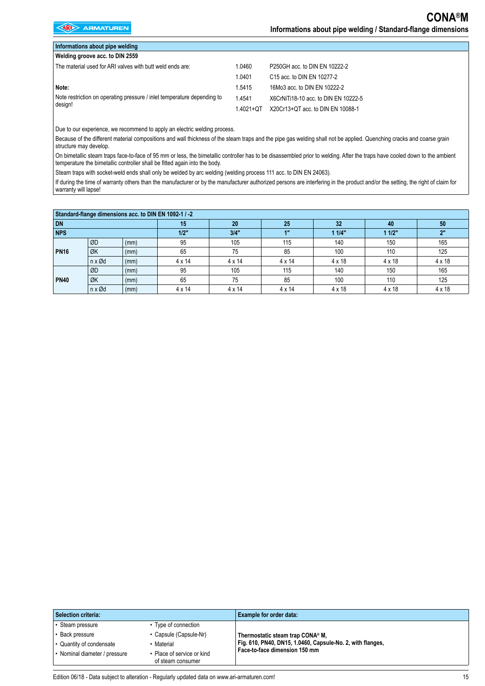| Informations about pipe welding                                         |                |                                        |  |  |  |  |  |
|-------------------------------------------------------------------------|----------------|----------------------------------------|--|--|--|--|--|
| Welding groove acc. to DIN 2559                                         |                |                                        |  |  |  |  |  |
| The material used for ARI valves with butt weld ends are:               | 1.0460         | P250GH acc. to DIN EN 10222-2          |  |  |  |  |  |
|                                                                         | 1.0401         | C <sub>15</sub> acc. to DIN EN 10277-2 |  |  |  |  |  |
| Note:                                                                   | 1.5415         | 16Mo3 acc. to DIN EN 10222-2           |  |  |  |  |  |
| Note restriction on operating pressure / inlet temperature depending to | 1.4541         | X6CrNiTi18-10 acc. to DIN EN 10222-5   |  |  |  |  |  |
| design!                                                                 | $1.4021 + O$ T | X20Cr13+QT acc. to DIN EN 10088-1      |  |  |  |  |  |

Due to our experience, we recommend to apply an electric welding process.

Because of the different material compositions and wall thickness of the steam traps and the pipe gas welding shall not be applied. Quenching cracks and coarse grain structure may develop.

On bimetallic steam traps face-to-face of 95 mm or less, the bimetallic controller has to be disassembled prior to welding. After the traps have cooled down to the ambient temperature the bimetallic controller shall be fitted again into the body.

Steam traps with socket-weld ends shall only be welded by arc welding (welding process 111 acc. to DIN EN 24063).

If during the time of warranty others than the manufacturer or by the manufacturer authorized persons are interfering in the product and/or the setting, the right of claim for warranty will lapse!

| Standard-flange dimensions acc. to DIN EN 1092-1 / -2 |                          |      |               |               |               |               |               |               |
|-------------------------------------------------------|--------------------------|------|---------------|---------------|---------------|---------------|---------------|---------------|
| DN                                                    |                          | 15   | 20            | 25            | 32            | 40            | 50            |               |
| <b>NPS</b>                                            |                          |      | 1/2"          | 3/4"          | 1"            | 11/4"         | 11/2"         | 2"            |
| <b>PN16</b>                                           | ØD                       | (mm) | 95            | 105           | 115           | 140           | 150           | 165           |
|                                                       | ØK                       | (mm) | 65            | 75            | 85            | 100           | 110           | 125           |
|                                                       | $n \times \varnothing$ d | (mm) | $4 \times 14$ | $4 \times 14$ | $4 \times 14$ | $4 \times 18$ | $4 \times 18$ | $4 \times 18$ |
| <b>PN40</b>                                           | ØD                       | (mm) | 95            | 105           | 115           | 140           | 150           | 165           |
|                                                       | ØK                       | (mm) | 65            | 75            | 85            | 100           | 110           | 125           |
|                                                       | $n \times \varnothing d$ | (mm) | $4 \times 14$ | $4 \times 14$ | $4 \times 14$ | $4 \times 18$ | $4 \times 18$ | $4 \times 18$ |

| Selection criteria:           |                                               | Example for order data:                                    |
|-------------------------------|-----------------------------------------------|------------------------------------------------------------|
| Steam pressure                | Type of connection                            |                                                            |
| Back pressure                 | • Capsule (Capsule-Nr)                        | Thermostatic steam trap CONA® M,                           |
| • Quantity of condensate      | Material                                      | Fig. 610, PN40, DN15, 1.0460, Capsule-No. 2, with flanges, |
| • Nominal diameter / pressure | Place of service or kind<br>of steam consumer | Face-to-face dimension 150 mm                              |